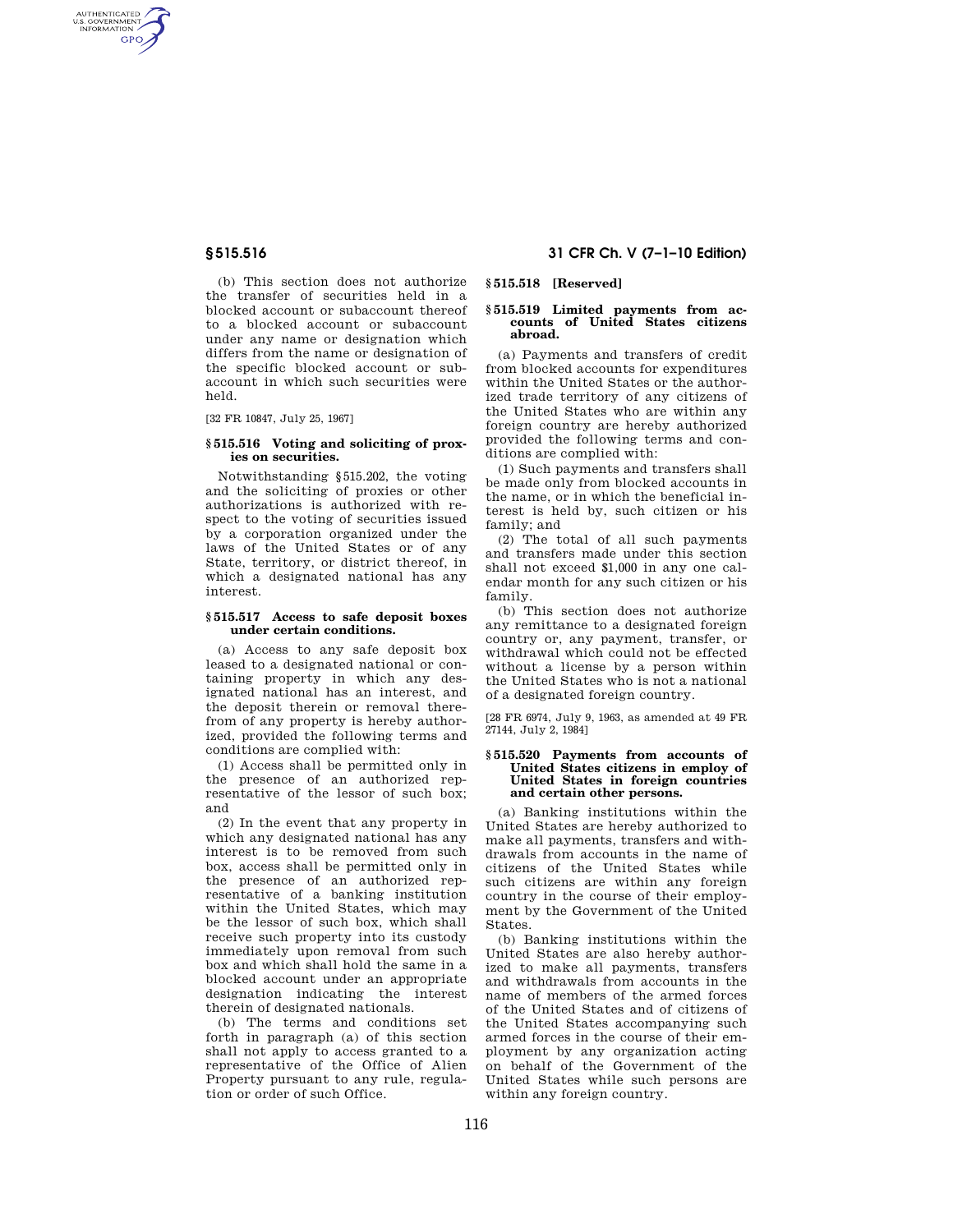AUTHENTICATED<br>U.S. GOVERNMENT<br>INFORMATION **GPO** 

> (b) This section does not authorize the transfer of securities held in a blocked account or subaccount thereof to a blocked account or subaccount under any name or designation which differs from the name or designation of the specific blocked account or subaccount in which such securities were held.

[32 FR 10847, July 25, 1967]

#### **§ 515.516 Voting and soliciting of proxies on securities.**

Notwithstanding §515.202, the voting and the soliciting of proxies or other authorizations is authorized with respect to the voting of securities issued by a corporation organized under the laws of the United States or of any State, territory, or district thereof, in which a designated national has any interest.

#### **§ 515.517 Access to safe deposit boxes under certain conditions.**

(a) Access to any safe deposit box leased to a designated national or containing property in which any designated national has an interest, and the deposit therein or removal therefrom of any property is hereby authorized, provided the following terms and conditions are complied with:

(1) Access shall be permitted only in the presence of an authorized representative of the lessor of such box; and

(2) In the event that any property in which any designated national has any interest is to be removed from such box, access shall be permitted only in the presence of an authorized representative of a banking institution within the United States, which may be the lessor of such box, which shall receive such property into its custody immediately upon removal from such box and which shall hold the same in a blocked account under an appropriate designation indicating the interest therein of designated nationals.

(b) The terms and conditions set forth in paragraph (a) of this section shall not apply to access granted to a representative of the Office of Alien Property pursuant to any rule, regulation or order of such Office.

# **§ 515.516 31 CFR Ch. V (7–1–10 Edition)**

# **§ 515.518 [Reserved]**

#### **§ 515.519 Limited payments from accounts of United States citizens abroad.**

(a) Payments and transfers of credit from blocked accounts for expenditures within the United States or the authorized trade territory of any citizens of the United States who are within any foreign country are hereby authorized provided the following terms and conditions are complied with:

(1) Such payments and transfers shall be made only from blocked accounts in the name, or in which the beneficial interest is held by, such citizen or his family; and

(2) The total of all such payments and transfers made under this section shall not exceed \$1,000 in any one calendar month for any such citizen or his family.

(b) This section does not authorize any remittance to a designated foreign country or, any payment, transfer, or withdrawal which could not be effected without a license by a person within the United States who is not a national of a designated foreign country.

[28 FR 6974, July 9, 1963, as amended at 49 FR 27144, July 2, 1984]

#### **§ 515.520 Payments from accounts of United States citizens in employ of United States in foreign countries and certain other persons.**

(a) Banking institutions within the United States are hereby authorized to make all payments, transfers and withdrawals from accounts in the name of citizens of the United States while such citizens are within any foreign country in the course of their employment by the Government of the United **States** 

(b) Banking institutions within the United States are also hereby authorized to make all payments, transfers and withdrawals from accounts in the name of members of the armed forces of the United States and of citizens of the United States accompanying such armed forces in the course of their employment by any organization acting on behalf of the Government of the United States while such persons are within any foreign country.